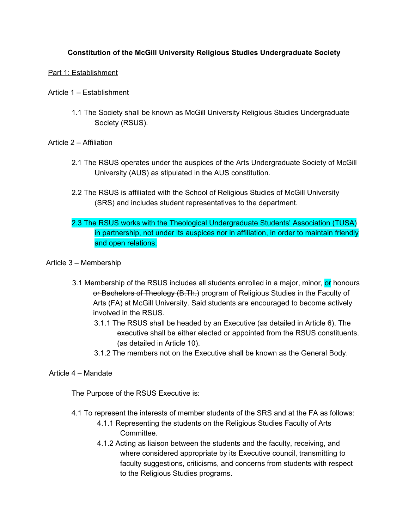# **Constitution of the McGill University Religious Studies Undergraduate Society**

# Part 1: Establishment

- Article 1 Establishment
	- 1.1 The Society shall be known as McGill University Religious Studies Undergraduate Society (RSUS).

# Article 2 – Affiliation

- 2.1 The RSUS operates under the auspices of the Arts Undergraduate Society of McGill University (AUS) as stipulated in the AUS constitution.
- 2.2 The RSUS is affiliated with the School of Religious Studies of McGill University (SRS) and includes student representatives to the department.
- 2.3 The RSUS works with the Theological Undergraduate Students' Association (TUSA) in partnership, not under its auspices nor in affiliation, in order to maintain friendly and open relations.

# Article 3 – Membership

- 3.1 Membership of the RSUS includes all students enrolled in a major, minor, or honours or Bachelors of Theology (B.Th.) program of Religious Studies in the Faculty of Arts (FA) at McGill University. Said students are encouraged to become actively involved in the RSUS.
	- 3.1.1 The RSUS shall be headed by an Executive (as detailed in Article 6). The executive shall be either elected or appointed from the RSUS constituents. (as detailed in Article 10).
	- 3.1.2 The members not on the Executive shall be known as the General Body.

# Article 4 – Mandate

The Purpose of the RSUS Executive is:

- 4.1 To represent the interests of member students of the SRS and at the FA as follows:
	- 4.1.1 Representing the students on the Religious Studies Faculty of Arts Committee.
	- 4.1.2 Acting as liaison between the students and the faculty, receiving, and where considered appropriate by its Executive council, transmitting to faculty suggestions, criticisms, and concerns from students with respect to the Religious Studies programs.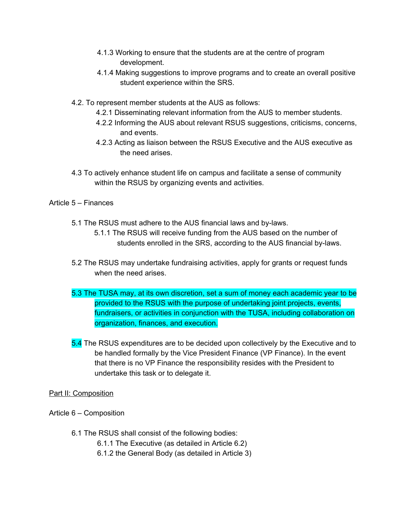- 4.1.3 Working to ensure that the students are at the centre of program development.
- 4.1.4 Making suggestions to improve programs and to create an overall positive student experience within the SRS.
- 4.2. To represent member students at the AUS as follows:
	- 4.2.1 Disseminating relevant information from the AUS to member students.
	- 4.2.2 Informing the AUS about relevant RSUS suggestions, criticisms, concerns, and events.
	- 4.2.3 Acting as liaison between the RSUS Executive and the AUS executive as the need arises.
- 4.3 To actively enhance student life on campus and facilitate a sense of community within the RSUS by organizing events and activities.

# Article 5 – Finances

- 5.1 The RSUS must adhere to the AUS financial laws and by-laws.
	- 5.1.1 The RSUS will receive funding from the AUS based on the number of students enrolled in the SRS, according to the AUS financial by-laws.
- 5.2 The RSUS may undertake fundraising activities, apply for grants or request funds when the need arises.
- 5.3 The TUSA may, at its own discretion, set a sum of money each academic year to be provided to the RSUS with the purpose of undertaking joint projects, events, fundraisers, or activities in conjunction with the TUSA, including collaboration on organization, finances, and execution.
- 5.4 The RSUS expenditures are to be decided upon collectively by the Executive and to be handled formally by the Vice President Finance (VP Finance). In the event that there is no VP Finance the responsibility resides with the President to undertake this task or to delegate it.

## Part II: Composition

- Article 6 Composition
	- 6.1 The RSUS shall consist of the following bodies:
		- 6.1.1 The Executive (as detailed in Article 6.2)
		- 6.1.2 the General Body (as detailed in Article 3)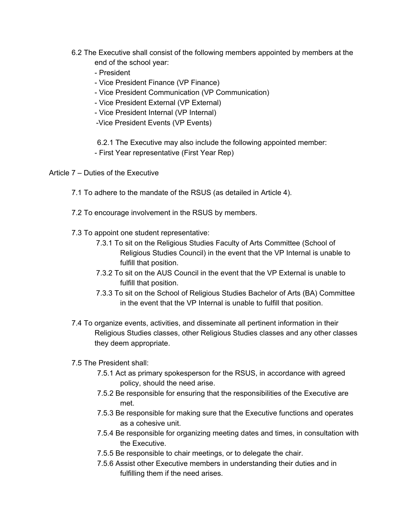- 6.2 The Executive shall consist of the following members appointed by members at the end of the school year:
	- President
	- Vice President Finance (VP Finance)
	- Vice President Communication (VP Communication)
	- Vice President External (VP External)
	- Vice President Internal (VP Internal)
	- -Vice President Events (VP Events)

6.2.1 The Executive may also include the following appointed member:

- First Year representative (First Year Rep)

Article 7 – Duties of the Executive

- 7.1 To adhere to the mandate of the RSUS (as detailed in Article 4).
- 7.2 To encourage involvement in the RSUS by members.
- 7.3 To appoint one student representative:
	- 7.3.1 To sit on the Religious Studies Faculty of Arts Committee (School of Religious Studies Council) in the event that the VP Internal is unable to fulfill that position.
	- 7.3.2 To sit on the AUS Council in the event that the VP External is unable to fulfill that position.
	- 7.3.3 To sit on the School of Religious Studies Bachelor of Arts (BA) Committee in the event that the VP Internal is unable to fulfill that position.
- 7.4 To organize events, activities, and disseminate all pertinent information in their Religious Studies classes, other Religious Studies classes and any other classes they deem appropriate.
- 7.5 The President shall:
	- 7.5.1 Act as primary spokesperson for the RSUS, in accordance with agreed policy, should the need arise.
	- 7.5.2 Be responsible for ensuring that the responsibilities of the Executive are met.
	- 7.5.3 Be responsible for making sure that the Executive functions and operates as a cohesive unit.
	- 7.5.4 Be responsible for organizing meeting dates and times, in consultation with the Executive.
	- 7.5.5 Be responsible to chair meetings, or to delegate the chair.
	- 7.5.6 Assist other Executive members in understanding their duties and in fulfilling them if the need arises.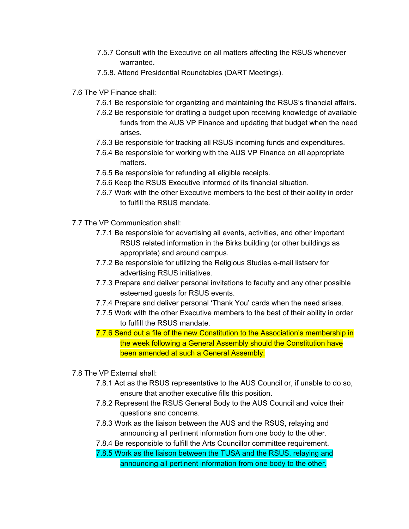- 7.5.7 Consult with the Executive on all matters affecting the RSUS whenever warranted.
- 7.5.8. Attend Presidential Roundtables (DART Meetings).
- 7.6 The VP Finance shall:
	- 7.6.1 Be responsible for organizing and maintaining the RSUS's financial affairs.
	- 7.6.2 Be responsible for drafting a budget upon receiving knowledge of available funds from the AUS VP Finance and updating that budget when the need arises.
	- 7.6.3 Be responsible for tracking all RSUS incoming funds and expenditures.
	- 7.6.4 Be responsible for working with the AUS VP Finance on all appropriate matters.
	- 7.6.5 Be responsible for refunding all eligible receipts.
	- 7.6.6 Keep the RSUS Executive informed of its financial situation.
	- 7.6.7 Work with the other Executive members to the best of their ability in order to fulfill the RSUS mandate.
- 7.7 The VP Communication shall:
	- 7.7.1 Be responsible for advertising all events, activities, and other important RSUS related information in the Birks building (or other buildings as appropriate) and around campus.
	- 7.7.2 Be responsible for utilizing the Religious Studies e-mail listserv for advertising RSUS initiatives.
	- 7.7.3 Prepare and deliver personal invitations to faculty and any other possible esteemed guests for RSUS events.
	- 7.7.4 Prepare and deliver personal 'Thank You' cards when the need arises.
	- 7.7.5 Work with the other Executive members to the best of their ability in order to fulfill the RSUS mandate.
	- 7.7.6 Send out a file of the new Constitution to the Association's membership in the week following a General Assembly should the Constitution have been amended at such a General Assembly.
- 7.8 The VP External shall:
	- 7.8.1 Act as the RSUS representative to the AUS Council or, if unable to do so, ensure that another executive fills this position.
	- 7.8.2 Represent the RSUS General Body to the AUS Council and voice their questions and concerns.
	- 7.8.3 Work as the liaison between the AUS and the RSUS, relaying and announcing all pertinent information from one body to the other.
	- 7.8.4 Be responsible to fulfill the Arts Councillor committee requirement.
	- 7.8.5 Work as the liaison between the TUSA and the RSUS, relaying and announcing all pertinent information from one body to the other.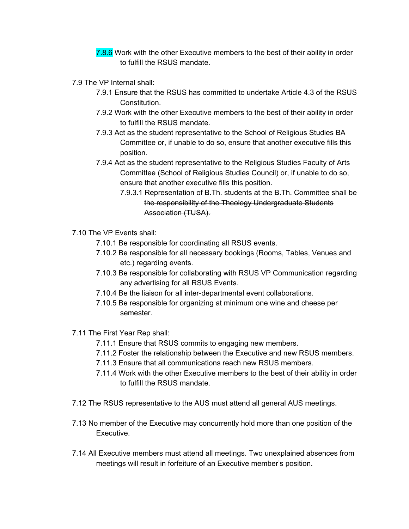- 7.8.6 Work with the other Executive members to the best of their ability in order to fulfill the RSUS mandate.
- 7.9 The VP Internal shall:
	- 7.9.1 Ensure that the RSUS has committed to undertake Article 4.3 of the RSUS Constitution.
	- 7.9.2 Work with the other Executive members to the best of their ability in order to fulfill the RSUS mandate.
	- 7.9.3 Act as the student representative to the School of Religious Studies BA Committee or, if unable to do so, ensure that another executive fills this position.
	- 7.9.4 Act as the student representative to the Religious Studies Faculty of Arts Committee (School of Religious Studies Council) or, if unable to do so, ensure that another executive fills this position.
		- 7.9.3.1 Representation of B.Th. students at the B.Th. Committee shall be the responsibility of the Theology Undergraduate Students Association (TUSA).
- 7.10 The VP Events shall:
	- 7.10.1 Be responsible for coordinating all RSUS events.
	- 7.10.2 Be responsible for all necessary bookings (Rooms, Tables, Venues and etc.) regarding events.
	- 7.10.3 Be responsible for collaborating with RSUS VP Communication regarding any advertising for all RSUS Events.
	- 7.10.4 Be the liaison for all inter-departmental event collaborations.
	- 7.10.5 Be responsible for organizing at minimum one wine and cheese per semester.
- 7.11 The First Year Rep shall:
	- 7.11.1 Ensure that RSUS commits to engaging new members.
	- 7.11.2 Foster the relationship between the Executive and new RSUS members.
	- 7.11.3 Ensure that all communications reach new RSUS members.
	- 7.11.4 Work with the other Executive members to the best of their ability in order to fulfill the RSUS mandate.
- 7.12 The RSUS representative to the AUS must attend all general AUS meetings.
- 7.13 No member of the Executive may concurrently hold more than one position of the Executive.
- 7.14 All Executive members must attend all meetings. Two unexplained absences from meetings will result in forfeiture of an Executive member's position.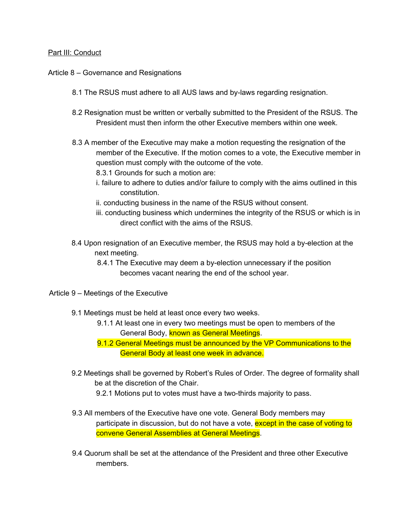### Part III: Conduct

### Article 8 – Governance and Resignations

- 8.1 The RSUS must adhere to all AUS laws and by-laws regarding resignation.
- 8.2 Resignation must be written or verbally submitted to the President of the RSUS. The President must then inform the other Executive members within one week.
- 8.3 A member of the Executive may make a motion requesting the resignation of the member of the Executive. If the motion comes to a vote, the Executive member in question must comply with the outcome of the vote.
	- 8.3.1 Grounds for such a motion are:
	- i. failure to adhere to duties and/or failure to comply with the aims outlined in this constitution.
	- ii. conducting business in the name of the RSUS without consent.
	- iii. conducting business which undermines the integrity of the RSUS or which is in direct conflict with the aims of the RSUS.
- 8.4 Upon resignation of an Executive member, the RSUS may hold a by-election at the next meeting.
	- 8.4.1 The Executive may deem a by-election unnecessary if the position becomes vacant nearing the end of the school year.
- Article 9 Meetings of the Executive
	- 9.1 Meetings must be held at least once every two weeks.
		- 9.1.1 At least one in every two meetings must be open to members of the General Body, known as General Meetings.
		- 9.1.2 General Meetings must be announced by the VP Communications to the General Body at least one week in advance.
	- 9.2 Meetings shall be governed by Robert's Rules of Order. The degree of formality shall be at the discretion of the Chair.
		- 9.2.1 Motions put to votes must have a two-thirds majority to pass.
	- 9.3 All members of the Executive have one vote. General Body members may participate in discussion, but do not have a vote, except in the case of voting to convene General Assemblies at General Meetings.
	- 9.4 Quorum shall be set at the attendance of the President and three other Executive members.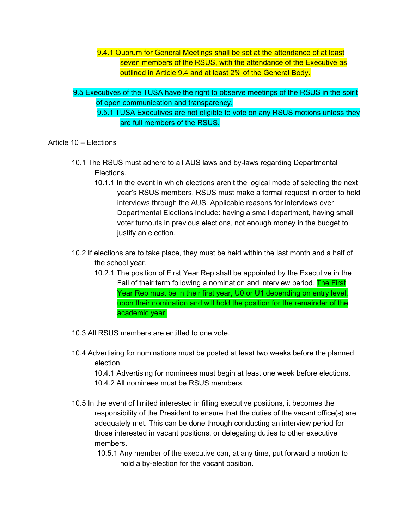- 9.4.1 Quorum for General Meetings shall be set at the attendance of at least seven members of the RSUS, with the attendance of the Executive as outlined in Article 9.4 and at least 2% of the General Body.
- 9.5 Executives of the TUSA have the right to observe meetings of the RSUS in the spirit of open communication and transparency.
	- 9.5.1 TUSA Executives are not eligible to vote on any RSUS motions unless they are full members of the RSUS.

## Article 10 – Elections

- 10.1 The RSUS must adhere to all AUS laws and by-laws regarding Departmental Elections.
	- 10.1.1 In the event in which elections aren't the logical mode of selecting the next year's RSUS members, RSUS must make a formal request in order to hold interviews through the AUS. Applicable reasons for interviews over Departmental Elections include: having a small department, having small voter turnouts in previous elections, not enough money in the budget to justify an election.
- 10.2 If elections are to take place, they must be held within the last month and a half of the school year.
	- 10.2.1 The position of First Year Rep shall be appointed by the Executive in the Fall of their term following a nomination and interview period. The First Year Rep must be in their first year, U0 or U1 depending on entry level, upon their nomination and will hold the position for the remainder of the academic year.
- 10.3 All RSUS members are entitled to one vote.
- 10.4 Advertising for nominations must be posted at least two weeks before the planned election.

10.4.1 Advertising for nominees must begin at least one week before elections. 10.4.2 All nominees must be RSUS members.

- 10.5 In the event of limited interested in filling executive positions, it becomes the responsibility of the President to ensure that the duties of the vacant office(s) are adequately met. This can be done through conducting an interview period for those interested in vacant positions, or delegating duties to other executive members.
	- 10.5.1 Any member of the executive can, at any time, put forward a motion to hold a by-election for the vacant position.